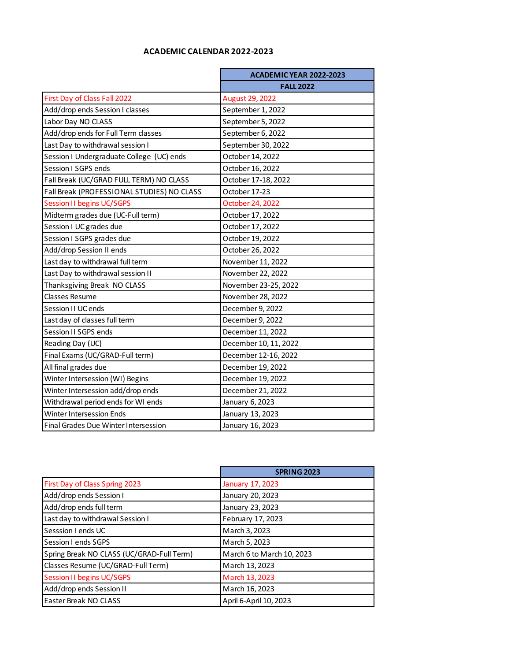## **ACADEMIC CALENDAR 2022-2023**

|                                            | ACADEMIC YEAR 2022-2023 |
|--------------------------------------------|-------------------------|
|                                            | <b>FALL 2022</b>        |
| First Day of Class Fall 2022               | August 29, 2022         |
| Add/drop ends Session I classes            | September 1, 2022       |
| Labor Day NO CLASS                         | September 5, 2022       |
| Add/drop ends for Full Term classes        | September 6, 2022       |
| Last Day to withdrawal session I           | September 30, 2022      |
| Session I Undergraduate College (UC) ends  | October 14, 2022        |
| Session I SGPS ends                        | October 16, 2022        |
| Fall Break (UC/GRAD FULL TERM) NO CLASS    | October 17-18, 2022     |
| Fall Break (PROFESSIONAL STUDIES) NO CLASS | October 17-23           |
| <b>Session II begins UC/SGPS</b>           | October 24, 2022        |
| Midterm grades due (UC-Full term)          | October 17, 2022        |
| Session I UC grades due                    | October 17, 2022        |
| Session I SGPS grades due                  | October 19, 2022        |
| Add/drop Session II ends                   | October 26, 2022        |
| Last day to withdrawal full term           | November 11, 2022       |
| Last Day to withdrawal session II          | November 22, 2022       |
| Thanksgiving Break NO CLASS                | November 23-25, 2022    |
| <b>Classes Resume</b>                      | November 28, 2022       |
| Session II UC ends                         | December 9, 2022        |
| Last day of classes full term              | December 9, 2022        |
| Session II SGPS ends                       | December 11, 2022       |
| Reading Day (UC)                           | December 10, 11, 2022   |
| Final Exams (UC/GRAD-Full term)            | December 12-16, 2022    |
| All final grades due                       | December 19, 2022       |
| Winter Intersession (WI) Begins            | December 19, 2022       |
| Winter Intersession add/drop ends          | December 21, 2022       |
| Withdrawal period ends for WI ends         | January 6, 2023         |
| <b>Winter Intersession Ends</b>            | January 13, 2023        |
| Final Grades Due Winter Intersession       | January 16, 2023        |

|                                           | <b>SPRING 2023</b>        |
|-------------------------------------------|---------------------------|
| First Day of Class Spring 2023            | January 17, 2023          |
| Add/drop ends Session I                   | January 20, 2023          |
| Add/drop ends full term                   | January 23, 2023          |
| Last day to withdrawal Session I          | February 17, 2023         |
| Sesssion I ends UC                        | March 3, 2023             |
| Session I ends SGPS                       | March 5, 2023             |
| Spring Break NO CLASS (UC/GRAD-Full Term) | March 6 to March 10, 2023 |
| Classes Resume (UC/GRAD-Full Term)        | March 13, 2023            |
| <b>Session II begins UC/SGPS</b>          | March 13, 2023            |
| Add/drop ends Session II                  | March 16, 2023            |
| Easter Break NO CLASS                     | April 6-April 10, 2023    |